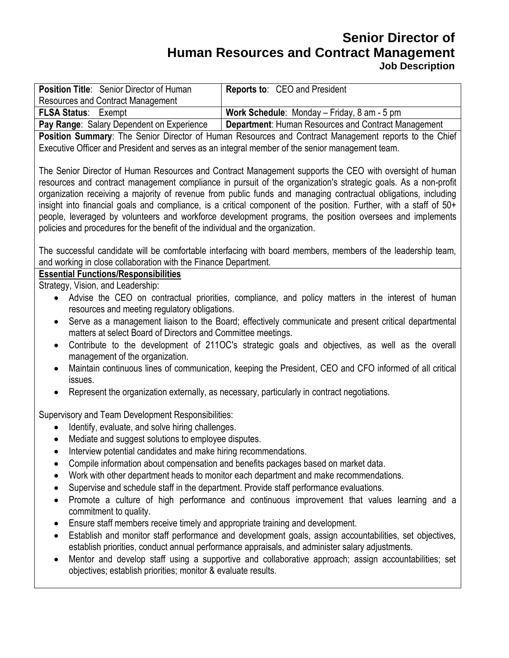## **Senior Director of Human Resources and Contract Management Job Description**

| Position Title: Senior Director of Human                                                                                                                                                                 | Reports to: CEO and President                       |
|----------------------------------------------------------------------------------------------------------------------------------------------------------------------------------------------------------|-----------------------------------------------------|
| <b>Resources and Contract Management</b>                                                                                                                                                                 |                                                     |
| <b>FLSA Status: Exempt</b>                                                                                                                                                                               | Work Schedule: Monday - Friday, 8 am - 5 pm         |
| Pay Range: Salary Dependent on Experience                                                                                                                                                                | Department: Human Resources and Contract Management |
| Position Summary: The Senior Director of Human Resources and Contract Management reports to the Chief<br>Executive Officer and President and serves as an integral member of the senior management team. |                                                     |
|                                                                                                                                                                                                          |                                                     |
| The Senior Director of Human Resources and Contract Management supports the CEO with oversight of human                                                                                                  |                                                     |
| resources and contract management compliance in pursuit of the organization's strategic goals. As a non-profit                                                                                           |                                                     |
| organization receiving a majority of revenue from public funds and managing contractual obligations, including                                                                                           |                                                     |
| insight into financial goals and compliance, is a critical component of the position. Further, with a staff of 50+                                                                                       |                                                     |
| people, leveraged by volunteers and workforce development programs, the position oversees and implements                                                                                                 |                                                     |
| policies and procedures for the benefit of the individual and the organization.                                                                                                                          |                                                     |
|                                                                                                                                                                                                          |                                                     |
| The successful candidate will be comfortable interfacing with board members, members of the leadership team,                                                                                             |                                                     |
| and working in close collaboration with the Finance Department.                                                                                                                                          |                                                     |
| <b>Essential Functions/Responsibilities</b>                                                                                                                                                              |                                                     |
| Strategy, Vision, and Leadership:                                                                                                                                                                        |                                                     |
| Advise the CEO on contractual priorities, compliance, and policy matters in the interest of human<br>$\bullet$                                                                                           |                                                     |
| resources and meeting regulatory obligations.                                                                                                                                                            |                                                     |
| Serve as a management liaison to the Board; effectively communicate and present critical departmental<br>$\bullet$                                                                                       |                                                     |
| matters at select Board of Directors and Committee meetings.                                                                                                                                             |                                                     |
| Contribute to the development of 2110C's strategic goals and objectives, as well as the overall<br>$\bullet$                                                                                             |                                                     |
| management of the organization.                                                                                                                                                                          |                                                     |
| Maintain continuous lines of communication, keeping the President, CEO and CFO informed of all critical<br>$\bullet$                                                                                     |                                                     |
| issues.                                                                                                                                                                                                  |                                                     |
| Represent the organization externally, as necessary, particularly in contract negotiations.<br>$\bullet$                                                                                                 |                                                     |
|                                                                                                                                                                                                          |                                                     |
| Supervisory and Team Development Responsibilities:<br>Identify, evaluate, and solve hiring challenges.                                                                                                   |                                                     |
| Mediate and suggest solutions to employee disputes.<br>$\bullet$                                                                                                                                         |                                                     |
| Interview potential candidates and make hiring recommendations.                                                                                                                                          |                                                     |
|                                                                                                                                                                                                          |                                                     |
| Compile information about compensation and benefits packages based on market data.<br>$\bullet$                                                                                                          |                                                     |
| Work with other department heads to monitor each department and make recommendations.<br>٠                                                                                                               |                                                     |
| Supervise and schedule staff in the department. Provide staff performance evaluations.<br>$\bullet$                                                                                                      |                                                     |
| Promote a culture of high performance and continuous improvement that values learning and a<br>$\bullet$                                                                                                 |                                                     |
| commitment to quality.                                                                                                                                                                                   |                                                     |
| Ensure staff members receive timely and appropriate training and development.<br>$\bullet$                                                                                                               |                                                     |
| Establish and monitor staff performance and development goals, assign accountabilities, set objectives,<br>٠                                                                                             |                                                     |

- establish priorities, conduct annual performance appraisals, and administer salary adjustments.
- Mentor and develop staff using a supportive and collaborative approach; assign accountabilities; set objectives; establish priorities; monitor & evaluate results.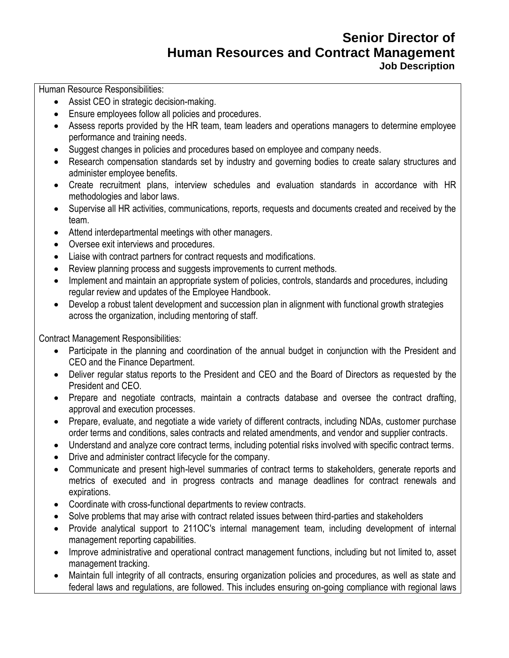## **Senior Director of Human Resources and Contract Management Job Description**

Human Resource Responsibilities:

- Assist CEO in strategic decision-making.
- Ensure employees follow all policies and procedures.
- Assess reports provided by the HR team, team leaders and operations managers to determine employee performance and training needs.
- Suggest changes in policies and procedures based on employee and company needs.
- Research compensation standards set by industry and governing bodies to create salary structures and administer employee benefits.
- Create recruitment plans, interview schedules and evaluation standards in accordance with HR methodologies and labor laws.
- Supervise all HR activities, communications, reports, requests and documents created and received by the team.
- Attend interdepartmental meetings with other managers.
- Oversee exit interviews and procedures.
- Liaise with contract partners for contract requests and modifications.
- Review planning process and suggests improvements to current methods.
- Implement and maintain an appropriate system of policies, controls, standards and procedures, including regular review and updates of the Employee Handbook.
- Develop a robust talent development and succession plan in alignment with functional growth strategies across the organization, including mentoring of staff.

Contract Management Responsibilities:

- Participate in the planning and coordination of the annual budget in conjunction with the President and CEO and the Finance Department.
- Deliver regular status reports to the President and CEO and the Board of Directors as requested by the President and CEO.
- Prepare and negotiate contracts, maintain a contracts database and oversee the contract drafting, approval and execution processes.
- Prepare, evaluate, and negotiate a wide variety of different contracts, including NDAs, customer purchase order terms and conditions, sales contracts and related amendments, and vendor and supplier contracts.
- Understand and analyze core contract terms, including potential risks involved with specific contract terms.
- Drive and administer contract lifecycle for the company.
- Communicate and present high-level summaries of contract terms to stakeholders, generate reports and metrics of executed and in progress contracts and manage deadlines for contract renewals and expirations.
- Coordinate with cross-functional departments to review contracts.
- Solve problems that may arise with contract related issues between third-parties and stakeholders
- Provide analytical support to 211OC's internal management team, including development of internal management reporting capabilities.
- Improve administrative and operational contract management functions, including but not limited to, asset management tracking.
- Maintain full integrity of all contracts, ensuring organization policies and procedures, as well as state and federal laws and regulations, are followed. This includes ensuring on-going compliance with regional laws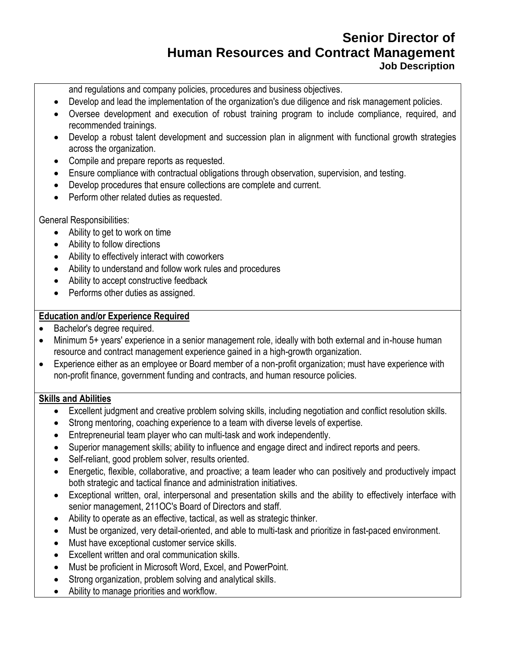# **Senior Director of Human Resources and Contract Management Job Description**

and regulations and company policies, procedures and business objectives.

- Develop and lead the implementation of the organization's due diligence and risk management policies.
- Oversee development and execution of robust training program to include compliance, required, and recommended trainings.
- Develop a robust talent development and succession plan in alignment with functional growth strategies across the organization.
- Compile and prepare reports as requested.
- Ensure compliance with contractual obligations through observation, supervision, and testing.
- Develop procedures that ensure collections are complete and current.
- Perform other related duties as requested.

General Responsibilities:

- Ability to get to work on time
- Ability to follow directions
- Ability to effectively interact with coworkers
- Ability to understand and follow work rules and procedures
- Ability to accept constructive feedback
- Performs other duties as assigned.

## **Education and/or Experience Required**

- Bachelor's degree required.
- Minimum 5+ years' experience in a senior management role, ideally with both external and in-house human resource and contract management experience gained in a high-growth organization.
- Experience either as an employee or Board member of a non-profit organization; must have experience with non-profit finance, government funding and contracts, and human resource policies.

## **Skills and Abilities**

- Excellent judgment and creative problem solving skills, including negotiation and conflict resolution skills.
- Strong mentoring, coaching experience to a team with diverse levels of expertise.
- Entrepreneurial team player who can multi-task and work independently.
- Superior management skills; ability to influence and engage direct and indirect reports and peers.
- Self-reliant, good problem solver, results oriented.
- Energetic, flexible, collaborative, and proactive; a team leader who can positively and productively impact both strategic and tactical finance and administration initiatives.
- Exceptional written, oral, interpersonal and presentation skills and the ability to effectively interface with senior management, 211OC's Board of Directors and staff.
- Ability to operate as an effective, tactical, as well as strategic thinker.
- Must be organized, very detail-oriented, and able to multi-task and prioritize in fast-paced environment.
- Must have exceptional customer service skills.
- Excellent written and oral communication skills.
- Must be proficient in Microsoft Word, Excel, and PowerPoint.
- Strong organization, problem solving and analytical skills.
- Ability to manage priorities and workflow.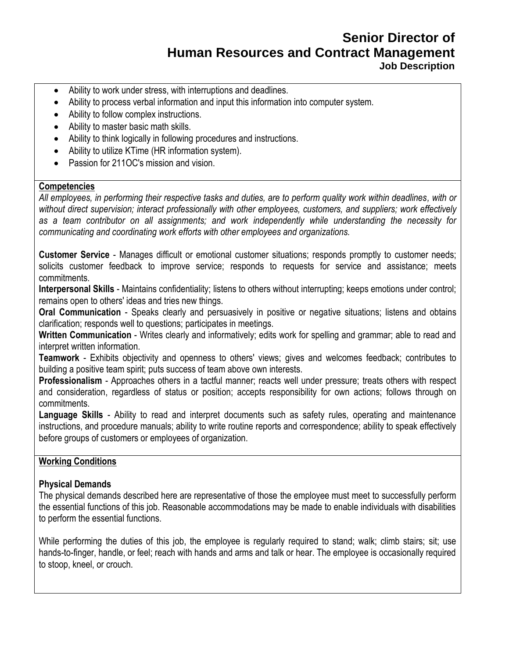# **Senior Director of Human Resources and Contract Management Job Description**

- Ability to work under stress, with interruptions and deadlines.
- Ability to process verbal information and input this information into computer system.
- Ability to follow complex instructions.
- Ability to master basic math skills.
- Ability to think logically in following procedures and instructions.
- Ability to utilize KTime (HR information system).
- Passion for 211OC's mission and vision.

#### **Competencies**

*All employees, in performing their respective tasks and duties, are to perform quality work within deadlines, with or without direct supervision; interact professionally with other employees, customers, and suppliers; work effectively as a team contributor on all assignments; and work independently while understanding the necessity for communicating and coordinating work efforts with other employees and organizations.*

**Customer Service** - Manages difficult or emotional customer situations; responds promptly to customer needs; solicits customer feedback to improve service; responds to requests for service and assistance; meets commitments.

**Interpersonal Skills** - Maintains confidentiality; listens to others without interrupting; keeps emotions under control; remains open to others' ideas and tries new things.

**Oral Communication** - Speaks clearly and persuasively in positive or negative situations; listens and obtains clarification; responds well to questions; participates in meetings.

**Written Communication** - Writes clearly and informatively; edits work for spelling and grammar; able to read and interpret written information.

**Teamwork** - Exhibits objectivity and openness to others' views; gives and welcomes feedback; contributes to building a positive team spirit; puts success of team above own interests.

**Professionalism** - Approaches others in a tactful manner; reacts well under pressure; treats others with respect and consideration, regardless of status or position; accepts responsibility for own actions; follows through on commitments.

**Language Skills** - Ability to read and interpret documents such as safety rules, operating and maintenance instructions, and procedure manuals; ability to write routine reports and correspondence; ability to speak effectively before groups of customers or employees of organization.

## **Working Conditions**

## **Physical Demands**

The physical demands described here are representative of those the employee must meet to successfully perform the essential functions of this job. Reasonable accommodations may be made to enable individuals with disabilities to perform the essential functions.

While performing the duties of this job, the employee is regularly required to stand; walk; climb stairs; sit; use hands-to-finger, handle, or feel; reach with hands and arms and talk or hear. The employee is occasionally required to stoop, kneel, or crouch.